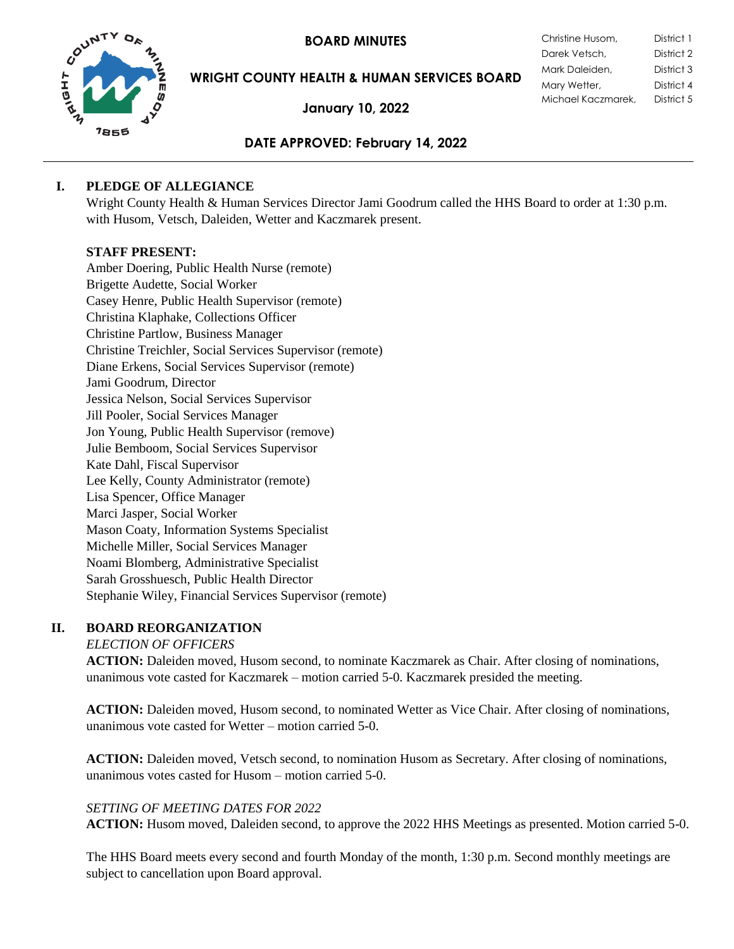**BOARD MINUTES** 



**WRIGHT COUNTY HEALTH & HUMAN SERVICES BOARD**

**January 10, 2022**

| Christine Husom,   | District 1 |
|--------------------|------------|
| Darek Vetsch,      | District 2 |
| Mark Daleiden,     | District 3 |
| Mary Wetter,       | District 4 |
| Michael Kaczmarek, | District 5 |

## **DATE APPROVED: February 14, 2022**

## **I. PLEDGE OF ALLEGIANCE**

Wright County Health & Human Services Director Jami Goodrum called the HHS Board to order at 1:30 p.m. with Husom, Vetsch, Daleiden, Wetter and Kaczmarek present.

### **STAFF PRESENT:**

Amber Doering, Public Health Nurse (remote) Brigette Audette, Social Worker Casey Henre, Public Health Supervisor (remote) Christina Klaphake, Collections Officer Christine Partlow, Business Manager Christine Treichler, Social Services Supervisor (remote) Diane Erkens, Social Services Supervisor (remote) Jami Goodrum, Director Jessica Nelson, Social Services Supervisor Jill Pooler, Social Services Manager Jon Young, Public Health Supervisor (remove) Julie Bemboom, Social Services Supervisor Kate Dahl, Fiscal Supervisor Lee Kelly, County Administrator (remote) Lisa Spencer, Office Manager Marci Jasper, Social Worker Mason Coaty, Information Systems Specialist Michelle Miller, Social Services Manager Noami Blomberg, Administrative Specialist Sarah Grosshuesch, Public Health Director Stephanie Wiley, Financial Services Supervisor (remote)

# **II. BOARD REORGANIZATION**

### *ELECTION OF OFFICERS*

**ACTION:** Daleiden moved, Husom second, to nominate Kaczmarek as Chair. After closing of nominations, unanimous vote casted for Kaczmarek – motion carried 5-0. Kaczmarek presided the meeting.

**ACTION:** Daleiden moved, Husom second, to nominated Wetter as Vice Chair. After closing of nominations, unanimous vote casted for Wetter – motion carried 5-0.

**ACTION:** Daleiden moved, Vetsch second, to nomination Husom as Secretary. After closing of nominations, unanimous votes casted for Husom – motion carried 5-0.

# *SETTING OF MEETING DATES FOR 2022*

**ACTION:** Husom moved, Daleiden second, to approve the 2022 HHS Meetings as presented. Motion carried 5-0.

The HHS Board meets every second and fourth Monday of the month, 1:30 p.m. Second monthly meetings are subject to cancellation upon Board approval.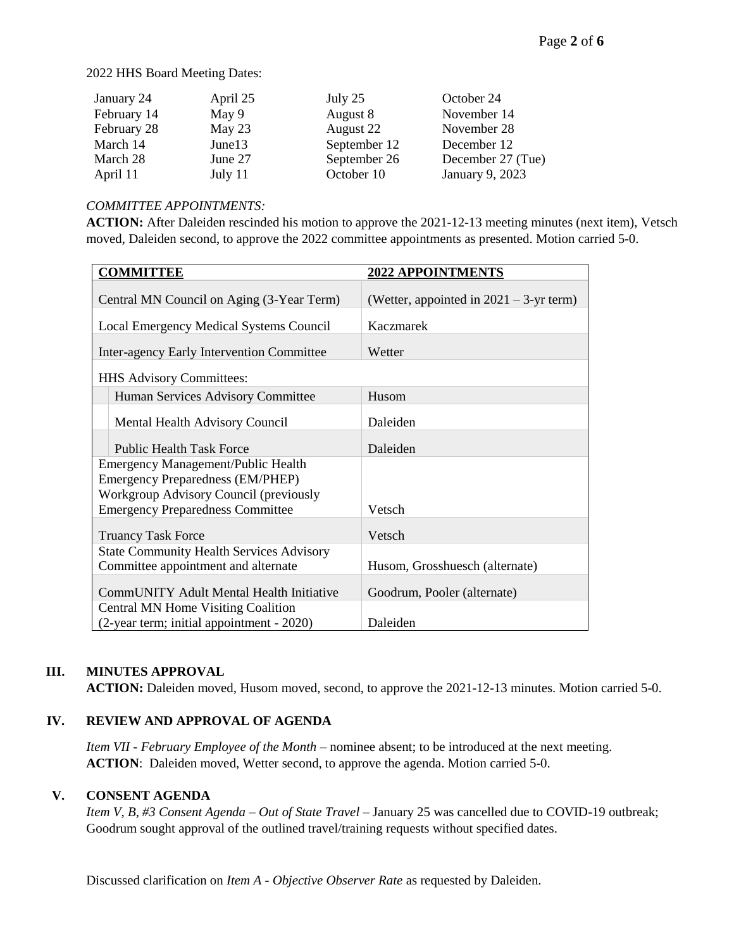#### 2022 HHS Board Meeting Dates:

| January 24  | April 25 | July 25      | October 24        |
|-------------|----------|--------------|-------------------|
| February 14 | May 9    | August 8     | November 14       |
| February 28 | May 23   | August 22    | November 28       |
| March 14    | June13   | September 12 | December 12       |
| March 28    | June 27  | September 26 | December 27 (Tue) |
| April 11    | July 11  | October 10   | January 9, 2023   |

#### *COMMITTEE APPOINTMENTS:*

**ACTION:** After Daleiden rescinded his motion to approve the 2021-12-13 meeting minutes (next item), Vetsch moved, Daleiden second, to approve the 2022 committee appointments as presented. Motion carried 5-0.

| <b>COMMITTEE</b>                                                                  | 2022 APPOINTMENTS                          |
|-----------------------------------------------------------------------------------|--------------------------------------------|
| Central MN Council on Aging (3-Year Term)                                         | (Wetter, appointed in $2021 - 3$ -yr term) |
| Local Emergency Medical Systems Council                                           | Kaczmarek                                  |
| Inter-agency Early Intervention Committee                                         | Wetter                                     |
| HHS Advisory Committees:                                                          |                                            |
| Human Services Advisory Committee                                                 | Husom                                      |
| Mental Health Advisory Council                                                    | Daleiden                                   |
| <b>Public Health Task Force</b>                                                   | Daleiden                                   |
| Emergency Management/Public Health                                                |                                            |
| <b>Emergency Preparedness (EM/PHEP)</b>                                           |                                            |
| Workgroup Advisory Council (previously<br><b>Emergency Preparedness Committee</b> | Vetsch                                     |
|                                                                                   |                                            |
| <b>Truancy Task Force</b>                                                         | Vetsch                                     |
| <b>State Community Health Services Advisory</b>                                   |                                            |
| Committee appointment and alternate                                               | Husom, Grosshuesch (alternate)             |
| CommUNITY Adult Mental Health Initiative                                          | Goodrum, Pooler (alternate)                |
| Central MN Home Visiting Coalition                                                |                                            |
| (2-year term; initial appointment - 2020)                                         | Daleiden                                   |

# **III. MINUTES APPROVAL**

**ACTION:** Daleiden moved, Husom moved, second, to approve the 2021-12-13 minutes. Motion carried 5-0.

### **IV. REVIEW AND APPROVAL OF AGENDA**

*Item VII - February Employee of the Month* – nominee absent; to be introduced at the next meeting. **ACTION**: Daleiden moved, Wetter second, to approve the agenda. Motion carried 5-0.

### **V. CONSENT AGENDA**

*Item V, B, #3 Consent Agenda – Out of State Travel – January 25 was cancelled due to COVID-19 outbreak*; Goodrum sought approval of the outlined travel/training requests without specified dates.

Discussed clarification on *Item A - Objective Observer Rate* as requested by Daleiden.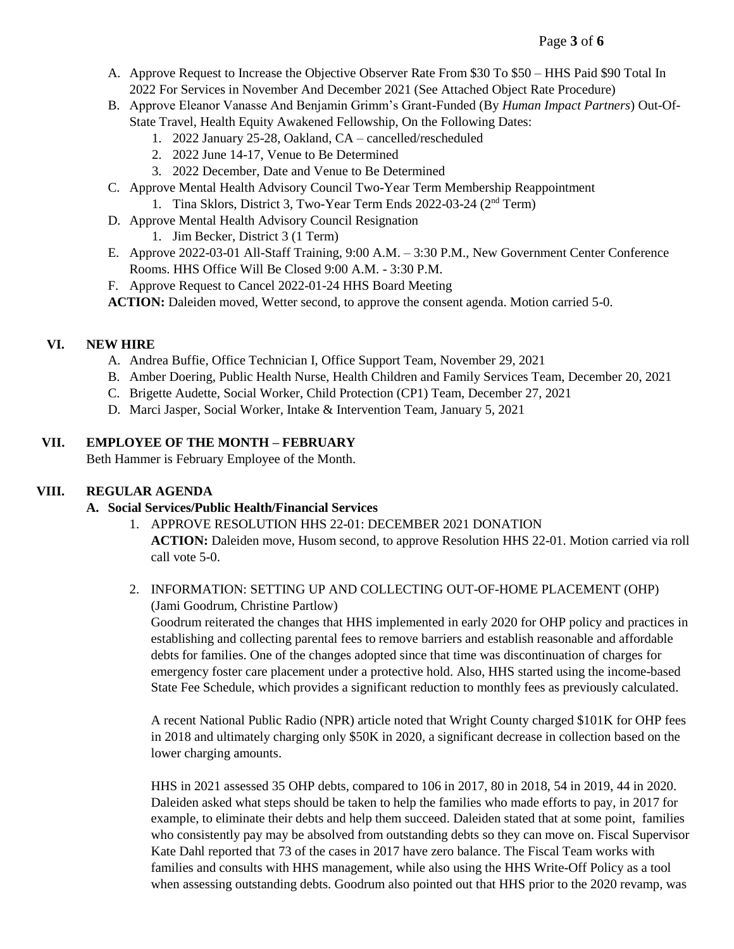- A. Approve Request to Increase the Objective Observer Rate From \$30 To \$50 HHS Paid \$90 Total In 2022 For Services in November And December 2021 (See Attached Object Rate Procedure)
- B. Approve Eleanor Vanasse And Benjamin Grimm's Grant-Funded (By *Human Impact Partners*) Out-Of-State Travel, Health Equity Awakened Fellowship, On the Following Dates:
	- 1. 2022 January 25-28, Oakland, CA cancelled/rescheduled
	- 2. 2022 June 14-17, Venue to Be Determined
	- 3. 2022 December, Date and Venue to Be Determined
- C. Approve Mental Health Advisory Council Two-Year Term Membership Reappointment
	- 1. Tina Sklors, District 3, Two-Year Term Ends 2022-03-24 (2nd Term)
- D. Approve Mental Health Advisory Council Resignation
	- 1. Jim Becker, District 3 (1 Term)
- E. Approve 2022-03-01 All-Staff Training, 9:00 A.M. 3:30 P.M., New Government Center Conference Rooms. HHS Office Will Be Closed 9:00 A.M. - 3:30 P.M.
- F. Approve Request to Cancel 2022-01-24 HHS Board Meeting
- **ACTION:** Daleiden moved, Wetter second, to approve the consent agenda. Motion carried 5-0.

## **VI. NEW HIRE**

- A. Andrea Buffie, Office Technician I, Office Support Team, November 29, 2021
- B. Amber Doering, Public Health Nurse, Health Children and Family Services Team, December 20, 2021
- C. Brigette Audette, Social Worker, Child Protection (CP1) Team, December 27, 2021
- D. Marci Jasper, Social Worker, Intake & Intervention Team, January 5, 2021

## **VII. EMPLOYEE OF THE MONTH – FEBRUARY**

Beth Hammer is February Employee of the Month.

### **VIII. REGULAR AGENDA**

### **A. Social Services/Public Health/Financial Services**

- 1. APPROVE RESOLUTION HHS 22-01: DECEMBER 2021 DONATION **ACTION:** Daleiden move, Husom second, to approve Resolution HHS 22-01. Motion carried via roll call vote 5-0.
- 2. INFORMATION: SETTING UP AND COLLECTING OUT-OF-HOME PLACEMENT (OHP) (Jami Goodrum, Christine Partlow)

Goodrum reiterated the changes that HHS implemented in early 2020 for OHP policy and practices in establishing and collecting parental fees to remove barriers and establish reasonable and affordable debts for families. One of the changes adopted since that time was discontinuation of charges for emergency foster care placement under a protective hold. Also, HHS started using the income-based State Fee Schedule, which provides a significant reduction to monthly fees as previously calculated.

A recent National Public Radio (NPR) article noted that Wright County charged \$101K for OHP fees in 2018 and ultimately charging only \$50K in 2020, a significant decrease in collection based on the lower charging amounts.

HHS in 2021 assessed 35 OHP debts, compared to 106 in 2017, 80 in 2018, 54 in 2019, 44 in 2020. Daleiden asked what steps should be taken to help the families who made efforts to pay, in 2017 for example, to eliminate their debts and help them succeed. Daleiden stated that at some point, families who consistently pay may be absolved from outstanding debts so they can move on. Fiscal Supervisor Kate Dahl reported that 73 of the cases in 2017 have zero balance. The Fiscal Team works with families and consults with HHS management, while also using the HHS Write-Off Policy as a tool when assessing outstanding debts. Goodrum also pointed out that HHS prior to the 2020 revamp, was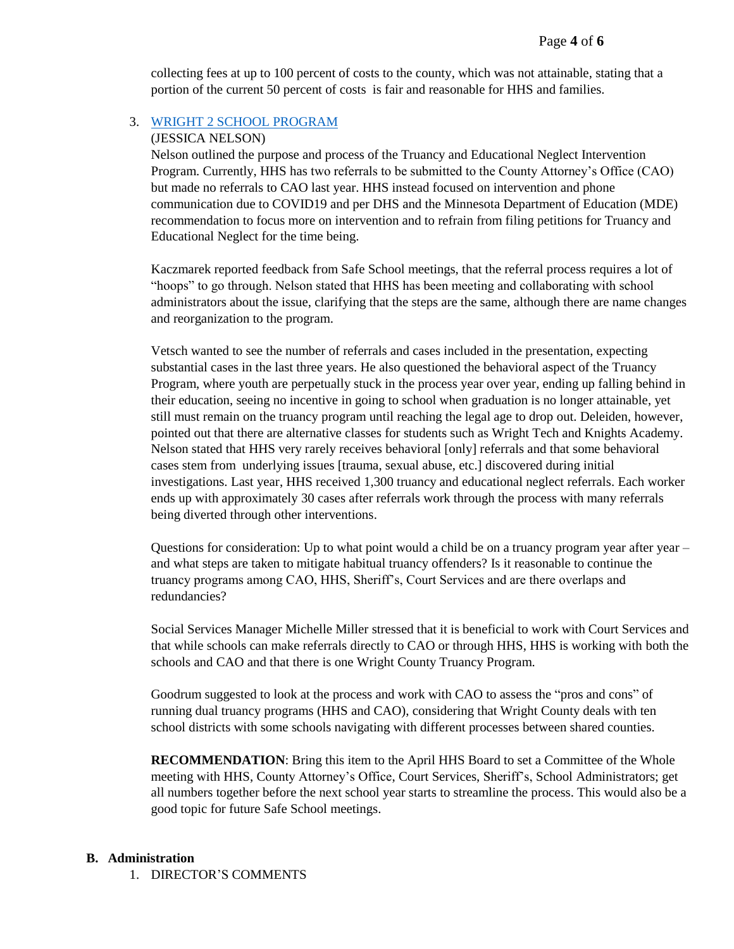collecting fees at up to 100 percent of costs to the county, which was not attainable, stating that a portion of the current 50 percent of costs is fair and reasonable for HHS and families.

#### 3. [WRIGHT 2 SCHOOL PROGRAM](http://www.co.wright.mn.us/DocumentCenter/View/23987/Wright2School-Presentation)

#### (JESSICA NELSON)

Nelson outlined the purpose and process of the Truancy and Educational Neglect Intervention Program. Currently, HHS has two referrals to be submitted to the County Attorney's Office (CAO) but made no referrals to CAO last year. HHS instead focused on intervention and phone communication due to COVID19 and per DHS and the Minnesota Department of Education (MDE) recommendation to focus more on intervention and to refrain from filing petitions for Truancy and Educational Neglect for the time being.

Kaczmarek reported feedback from Safe School meetings, that the referral process requires a lot of "hoops" to go through. Nelson stated that HHS has been meeting and collaborating with school administrators about the issue, clarifying that the steps are the same, although there are name changes and reorganization to the program.

Vetsch wanted to see the number of referrals and cases included in the presentation, expecting substantial cases in the last three years. He also questioned the behavioral aspect of the Truancy Program, where youth are perpetually stuck in the process year over year, ending up falling behind in their education, seeing no incentive in going to school when graduation is no longer attainable, yet still must remain on the truancy program until reaching the legal age to drop out. Deleiden, however, pointed out that there are alternative classes for students such as Wright Tech and Knights Academy. Nelson stated that HHS very rarely receives behavioral [only] referrals and that some behavioral cases stem from underlying issues [trauma, sexual abuse, etc.] discovered during initial investigations. Last year, HHS received 1,300 truancy and educational neglect referrals. Each worker ends up with approximately 30 cases after referrals work through the process with many referrals being diverted through other interventions.

Questions for consideration: Up to what point would a child be on a truancy program year after year – and what steps are taken to mitigate habitual truancy offenders? Is it reasonable to continue the truancy programs among CAO, HHS, Sheriff's, Court Services and are there overlaps and redundancies?

Social Services Manager Michelle Miller stressed that it is beneficial to work with Court Services and that while schools can make referrals directly to CAO or through HHS, HHS is working with both the schools and CAO and that there is one Wright County Truancy Program.

Goodrum suggested to look at the process and work with CAO to assess the "pros and cons" of running dual truancy programs (HHS and CAO), considering that Wright County deals with ten school districts with some schools navigating with different processes between shared counties.

**RECOMMENDATION:** Bring this item to the April HHS Board to set a Committee of the Whole meeting with HHS, County Attorney's Office, Court Services, Sheriff's, School Administrators; get all numbers together before the next school year starts to streamline the process. This would also be a good topic for future Safe School meetings.

#### **B. Administration**

1. DIRECTOR'S COMMENTS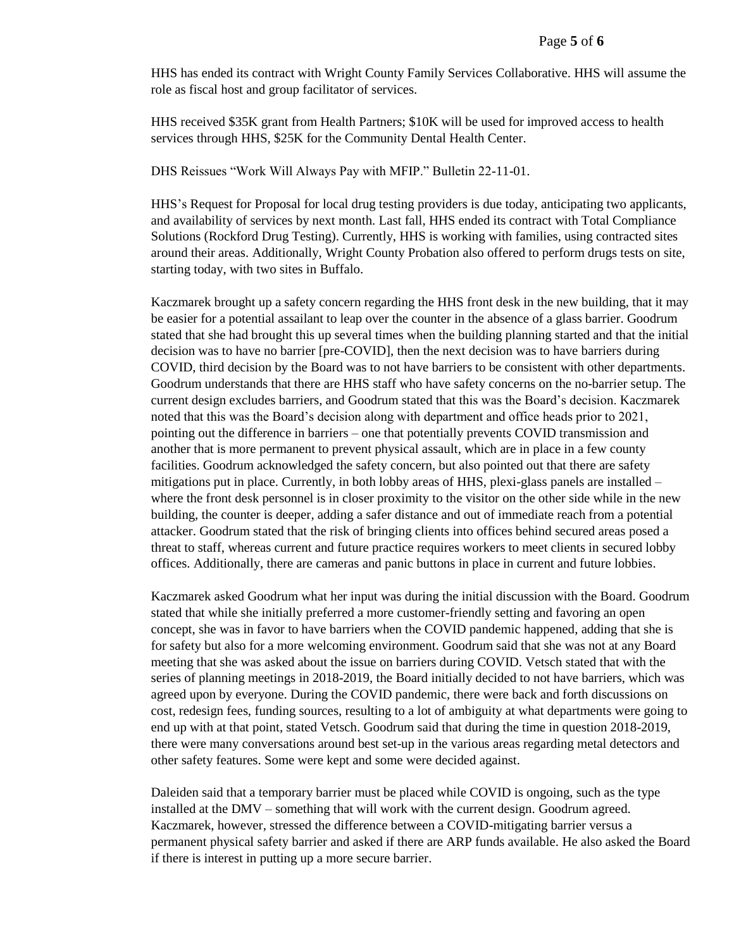HHS has ended its contract with Wright County Family Services Collaborative. HHS will assume the role as fiscal host and group facilitator of services.

HHS received \$35K grant from Health Partners; \$10K will be used for improved access to health services through HHS, \$25K for the Community Dental Health Center.

DHS Reissues "Work Will Always Pay with MFIP." Bulletin 22-11-01.

HHS's Request for Proposal for local drug testing providers is due today, anticipating two applicants, and availability of services by next month. Last fall, HHS ended its contract with Total Compliance Solutions (Rockford Drug Testing). Currently, HHS is working with families, using contracted sites around their areas. Additionally, Wright County Probation also offered to perform drugs tests on site, starting today, with two sites in Buffalo.

Kaczmarek brought up a safety concern regarding the HHS front desk in the new building, that it may be easier for a potential assailant to leap over the counter in the absence of a glass barrier. Goodrum stated that she had brought this up several times when the building planning started and that the initial decision was to have no barrier [pre-COVID], then the next decision was to have barriers during COVID, third decision by the Board was to not have barriers to be consistent with other departments. Goodrum understands that there are HHS staff who have safety concerns on the no-barrier setup. The current design excludes barriers, and Goodrum stated that this was the Board's decision. Kaczmarek noted that this was the Board's decision along with department and office heads prior to 2021, pointing out the difference in barriers – one that potentially prevents COVID transmission and another that is more permanent to prevent physical assault, which are in place in a few county facilities. Goodrum acknowledged the safety concern, but also pointed out that there are safety mitigations put in place. Currently, in both lobby areas of HHS, plexi-glass panels are installed – where the front desk personnel is in closer proximity to the visitor on the other side while in the new building, the counter is deeper, adding a safer distance and out of immediate reach from a potential attacker. Goodrum stated that the risk of bringing clients into offices behind secured areas posed a threat to staff, whereas current and future practice requires workers to meet clients in secured lobby offices. Additionally, there are cameras and panic buttons in place in current and future lobbies.

Kaczmarek asked Goodrum what her input was during the initial discussion with the Board. Goodrum stated that while she initially preferred a more customer-friendly setting and favoring an open concept, she was in favor to have barriers when the COVID pandemic happened, adding that she is for safety but also for a more welcoming environment. Goodrum said that she was not at any Board meeting that she was asked about the issue on barriers during COVID. Vetsch stated that with the series of planning meetings in 2018-2019, the Board initially decided to not have barriers, which was agreed upon by everyone. During the COVID pandemic, there were back and forth discussions on cost, redesign fees, funding sources, resulting to a lot of ambiguity at what departments were going to end up with at that point, stated Vetsch. Goodrum said that during the time in question 2018-2019, there were many conversations around best set-up in the various areas regarding metal detectors and other safety features. Some were kept and some were decided against.

Daleiden said that a temporary barrier must be placed while COVID is ongoing, such as the type installed at the DMV – something that will work with the current design. Goodrum agreed. Kaczmarek, however, stressed the difference between a COVID-mitigating barrier versus a permanent physical safety barrier and asked if there are ARP funds available. He also asked the Board if there is interest in putting up a more secure barrier.